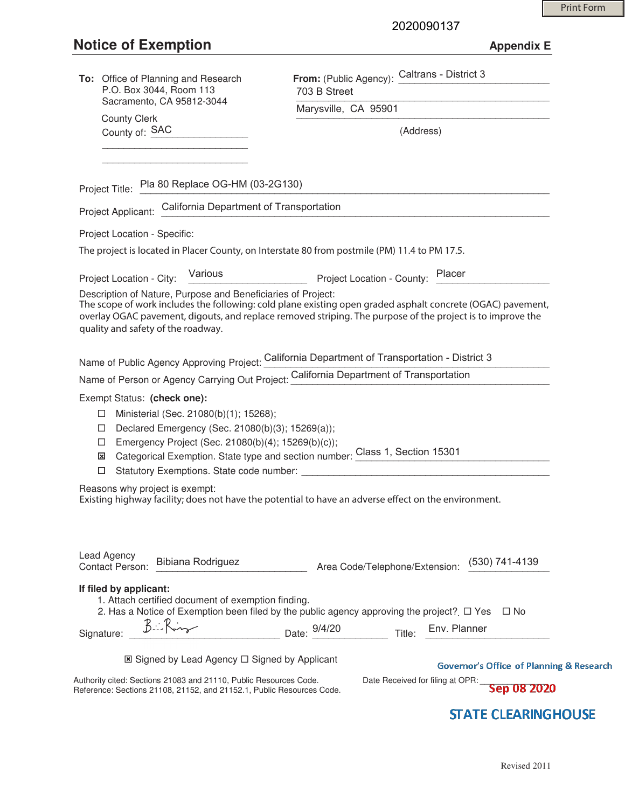# **Notice of Exemption Appendix E**

2020090137

| To: Office of Planning and Research<br>P.O. Box 3044, Room 113                                                                                                                 | From: (Public Agency): Caltrans - District 3<br>703 B Street<br>Marysville, CA 95901                                                                                                                                      |  |
|--------------------------------------------------------------------------------------------------------------------------------------------------------------------------------|---------------------------------------------------------------------------------------------------------------------------------------------------------------------------------------------------------------------------|--|
| Sacramento, CA 95812-3044                                                                                                                                                      |                                                                                                                                                                                                                           |  |
| <b>County Clerk</b><br>County of: SAC                                                                                                                                          | (Address)                                                                                                                                                                                                                 |  |
|                                                                                                                                                                                |                                                                                                                                                                                                                           |  |
|                                                                                                                                                                                |                                                                                                                                                                                                                           |  |
| Project Title: Pla 80 Replace OG-HM (03-2G130)                                                                                                                                 |                                                                                                                                                                                                                           |  |
| Project Applicant: California Department of Transportation                                                                                                                     |                                                                                                                                                                                                                           |  |
| Project Location - Specific:                                                                                                                                                   |                                                                                                                                                                                                                           |  |
| The project is located in Placer County, on Interstate 80 from postmile (PM) 11.4 to PM 17.5.                                                                                  |                                                                                                                                                                                                                           |  |
|                                                                                                                                                                                | Project Location - City: Various Project Location - County: Placer                                                                                                                                                        |  |
| Description of Nature, Purpose and Beneficiaries of Project:<br>quality and safety of the roadway.                                                                             | The scope of work includes the following: cold plane existing open graded asphalt concrete (OGAC) pavement,<br>overlay OGAC pavement, digouts, and replace removed striping. The purpose of the project is to improve the |  |
|                                                                                                                                                                                | Name of Public Agency Approving Project: California Department of Transportation - District 3                                                                                                                             |  |
|                                                                                                                                                                                | Name of Person or Agency Carrying Out Project: California Department of Transportation                                                                                                                                    |  |
| Exempt Status: (check one):                                                                                                                                                    |                                                                                                                                                                                                                           |  |
| Ministerial (Sec. 21080(b)(1); 15268);<br>ப<br>Declared Emergency (Sec. 21080(b)(3); 15269(a));<br>$\Box$<br>Emergency Project (Sec. 21080(b)(4); 15269(b)(c));<br>$\Box$<br>⊠ | Categorical Exemption. State type and section number: Class 1, Section 15301                                                                                                                                              |  |
| Reasons why project is exempt:                                                                                                                                                 | Existing highway facility; does not have the potential to have an adverse effect on the environment.                                                                                                                      |  |
| Lead Agency<br>Bibiana Rodriguez<br><b>Contact Person:</b>                                                                                                                     | (530) 741-4139<br>Area Code/Telephone/Extension:                                                                                                                                                                          |  |
| If filed by applicant:<br>1. Attach certified document of exemption finding.                                                                                                   | 2. Has a Notice of Exemption been filed by the public agency approving the project? $\Box$ Yes<br>∣ No                                                                                                                    |  |
| Birking<br>Signature:                                                                                                                                                          | Date: 9/4/20 Title: Env. Planner                                                                                                                                                                                          |  |
| ⊠ Signed by Lead Agency □ Signed by Applicant<br>Authority cited: Sections 21083 and 21110, Public Resources Code.                                                             | <b>Governor's Office of Planning &amp; Research</b><br>Date Received for filing at OPR:                                                                                                                                   |  |
| Reference: Sections 21108, 21152, and 21152.1, Public Resources Code.                                                                                                          | Sep 08 2020                                                                                                                                                                                                               |  |

# **STATE CLEARINGHOUSE**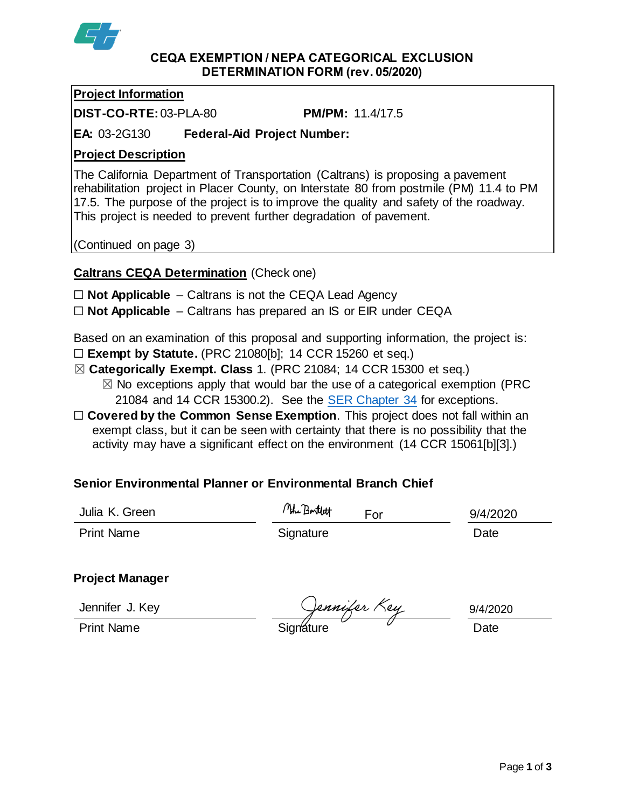

## **CEQA EXEMPTION / NEPA CATEGORICAL EXCLUSION DETERMINATION FORM (rev. 05/2020)**

## **Project Information**

**DIST-CO-RTE:**03-PLA-80 **PM/PM:** 11.4/17.5

**EA:** 03-2G130 **Federal-Aid Project Number:**

# **Project Description**

The California Department of Transportation (Caltrans) is proposing a pavement rehabilitation project in Placer County, on Interstate 80 from postmile (PM) 11.4 to PM 17.5. The purpose of the project is to improve the quality and safety of the roadway. This project is needed to prevent further degradation of pavement.

(Continued on page 3)

# **Caltrans CEQA Determination** (Check one)

- ☐ **Not Applicable** Caltrans is not the CEQA Lead Agency
- ☐ **Not Applicable** Caltrans has prepared an IS or EIR under CEQA

Based on an examination of this proposal and supporting information, the project is:

- ☐ **Exempt by Statute.** (PRC 21080[b]; 14 CCR 15260 et seq.)
- ☒ **Categorically Exempt. Class** 1. (PRC 21084; 14 CCR 15300 et seq.)
	- $\boxtimes$  No exceptions apply that would bar the use of a categorical exemption (PRC 21084 and 14 CCR 15300.2). See the [SER Chapter 34](https://dot.ca.gov/programs/environmental-analysis/standard-environmental-reference-ser/volume-1-guidance-for-compliance/ch-34-exemptions-to-ceqa#except) for exceptions.
- □ **Covered by the Common Sense Exemption**. This project does not fall within an exempt class, but it can be seen with certainty that there is no possibility that the activity may have a significant effect on the environment (14 CCR 15061[b][3].)

# **Senior Environmental Planner or Environmental Branch Chief**

| Julia K. Green    | Mohe Bartlett | For | 9/4/2020 |
|-------------------|---------------|-----|----------|
| <b>Print Name</b> | Signature     |     | Date     |

# **Project Manager**

Jennifer J. Key

Jennifer J. Key<br>Print Name Signature Signature Date

9/4/2020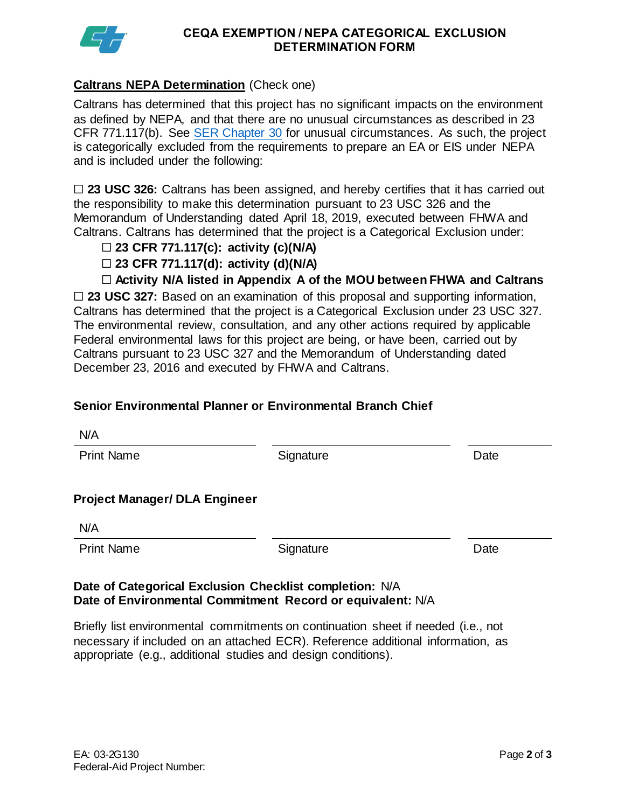

## **CEQA EXEMPTION / NEPA CATEGORICAL EXCLUSION DETERMINATION FORM**

## **Caltrans NEPA Determination** (Check one)

Caltrans has determined that this project has no significant impacts on the environment as defined by NEPA, and that there are no unusual circumstances as described in 23 CFR 771.117(b). See [SER Chapter 30](https://dot.ca.gov/programs/environmental-analysis/standard-environmental-reference-ser/volume-1-guidance-for-compliance/ch-30-categorical-exclusions#exception) for unusual circumstances. As such, the project is categorically excluded from the requirements to prepare an EA or EIS under NEPA and is included under the following:

□ 23 USC 326: Caltrans has been assigned, and hereby certifies that it has carried out the responsibility to make this determination pursuant to 23 USC 326 and the Memorandum of Understanding dated April 18, 2019, executed between FHWA and Caltrans. Caltrans has determined that the project is a Categorical Exclusion under:

- ☐ **23 CFR 771.117(c): activity (c)(N/A)**
- ☐ **23 CFR 771.117(d): activity (d)(N/A)**
- ☐ **Activity N/A listed in Appendix A of the MOU between FHWA and Caltrans**

□ 23 USC 327: Based on an examination of this proposal and supporting information, Caltrans has determined that the project is a Categorical Exclusion under 23 USC 327. The environmental review, consultation, and any other actions required by applicable Federal environmental laws for this project are being, or have been, carried out by Caltrans pursuant to 23 USC 327 and the Memorandum of Understanding dated December 23, 2016 and executed by FHWA and Caltrans.

## **Senior Environmental Planner or Environmental Branch Chief**

Print Name **Signature Date Signature Date** 

**Project Manager/ DLA Engineer**

N/A

Print Name **Signature Date** 

## **Date of Categorical Exclusion Checklist completion:** N/A **Date of Environmental Commitment Record or equivalent:** N/A

Briefly list environmental commitments on continuation sheet if needed (i.e., not necessary if included on an attached ECR). Reference additional information, as appropriate (e.g., additional studies and design conditions).